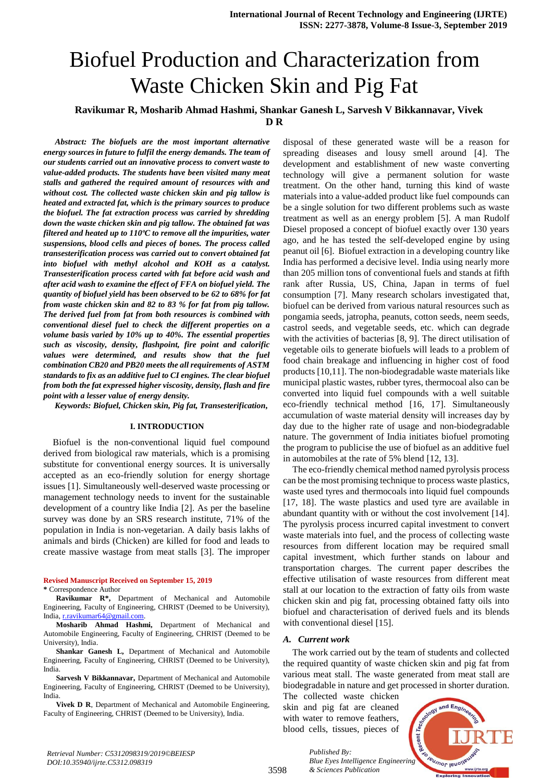# Biofuel Production and Characterization from Waste Chicken Skin and Pig Fat

# **Ravikumar R, Mosharib Ahmad Hashmi, Shankar Ganesh L, Sarvesh V Bikkannavar, Vivek D R**

*Abstract: The biofuels are the most important alternative energy sources in future to fulfil the energy demands. The team of our students carried out an innovative process to convert waste to value-added products. The students have been visited many meat stalls and gathered the required amount of resources with and without cost. The collected waste chicken skin and pig tallow is heated and extracted fat, which is the primary sources to produce the biofuel. The fat extraction process was carried by shredding down the waste chicken skin and pig tallow. The obtained fat was filtered and heated up to 110ºC to remove all the impurities, water suspensions, blood cells and pieces of bones. The process called transesterification process was carried out to convert obtained fat into biofuel with methyl alcohol and KOH as a catalyst. Transesterification process carted with fat before acid wash and after acid wash to examine the effect of FFA on biofuel yield. The quantity of biofuel yield has been observed to be 62 to 68% for fat from waste chicken skin and 82 to 83 % for fat from pig tallow. The derived fuel from fat from both resources is combined with conventional diesel fuel to check the different properties on a volume basis varied by 10% up to 40%. The essential properties such as viscosity, density, flashpoint, fire point and calorific values were determined, and results show that the fuel combination CB20 and PB20 meets the all requirements of ASTM standards to fix as an additive fuel to CI engines. The clear biofuel from both the fat expressed higher viscosity, density, flash and fire point with a lesser value of energy density.*

*Keywords: Biofuel, Chicken skin, Pig fat, Transesterification,* 

#### **I. INTRODUCTION**

Biofuel is the non-conventional liquid fuel compound derived from biological raw materials, which is a promising substitute for conventional energy sources. It is universally accepted as an eco-friendly solution for energy shortage issues [1]. Simultaneously well-deserved waste processing or management technology needs to invent for the sustainable development of a country like India [2]. As per the baseline survey was done by an SRS research institute, 71% of the population in India is non-vegetarian. A daily basis lakhs of animals and birds (Chicken) are killed for food and leads to create massive wastage from meat stalls [3]. The improper

#### **Revised Manuscript Received on September 15, 2019**

**\*** Correspondence Author

**Ravikumar R\*,** Department of Mechanical and Automobile Engineering, Faculty of Engineering, CHRIST (Deemed to be University), India, [r.ravikumar64@gmail.com.](mailto:r.ravikumar64@gmail.com)

**Mosharib Ahmad Hashmi,** Department of Mechanical and Automobile Engineering, Faculty of Engineering, CHRIST (Deemed to be University), India.

**Shankar Ganesh L,** Department of Mechanical and Automobile Engineering, Faculty of Engineering, CHRIST (Deemed to be University), India.

**Sarvesh V Bikkannavar,** Department of Mechanical and Automobile Engineering, Faculty of Engineering, CHRIST (Deemed to be University), India.

**Vivek D R**, Department of Mechanical and Automobile Engineering, Faculty of Engineering, CHRIST (Deemed to be University), India.

disposal of these generated waste will be a reason for spreading diseases and lousy smell around [4]. The development and establishment of new waste converting technology will give a permanent solution for waste treatment. On the other hand, turning this kind of waste materials into a value-added product like fuel compounds can be a single solution for two different problems such as waste treatment as well as an energy problem [5]. A man Rudolf Diesel proposed a concept of biofuel exactly over 130 years ago, and he has tested the self-developed engine by using peanut oil [6]. Biofuel extraction in a developing country like India has performed a decisive level. India using nearly more than 205 million tons of conventional fuels and stands at fifth rank after Russia, US, China, Japan in terms of fuel consumption [7]. Many research scholars investigated that, biofuel can be derived from various natural resources such as pongamia seeds, jatropha, peanuts, cotton seeds, neem seeds, castrol seeds, and vegetable seeds, etc. which can degrade with the activities of bacterias [8, 9]. The direct utilisation of vegetable oils to generate biofuels will leads to a problem of food chain breakage and influencing in higher cost of food products [10,11]. The non-biodegradable waste materials like municipal plastic wastes, rubber tyres, thermocoal also can be converted into liquid fuel compounds with a well suitable eco-friendly technical method [16, 17]. Simultaneously accumulation of waste material density will increases day by day due to the higher rate of usage and non-biodegradable nature. The government of India initiates biofuel promoting the program to publicise the use of biofuel as an additive fuel in automobiles at the rate of 5% blend [12, 13].

The eco-friendly chemical method named pyrolysis process can be the most promising technique to process waste plastics, waste used tyres and thermocoals into liquid fuel compounds [17, 18]. The waste plastics and used tyre are available in abundant quantity with or without the cost involvement [14]. The pyrolysis process incurred capital investment to convert waste materials into fuel, and the process of collecting waste resources from different location may be required small capital investment, which further stands on labour and transportation charges. The current paper describes the effective utilisation of waste resources from different meat stall at our location to the extraction of fatty oils from waste chicken skin and pig fat, processing obtained fatty oils into biofuel and characterisation of derived fuels and its blends with conventional diesel [15].

#### *A. Current work*

The work carried out by the team of students and collected the required quantity of waste chicken skin and pig fat from various meat stall. The waste generated from meat stall are biodegradable in nature and get processed in shorter duration.

The collected waste chicken skin and pig fat are cleaned with water to remove feathers, blood cells, tissues, pieces of

*& Sciences Publication* 

*Published By:*



*Retrieval Number: C5312098319/2019©BEIESP DOI:10.35940/ijrte.C5312.098319*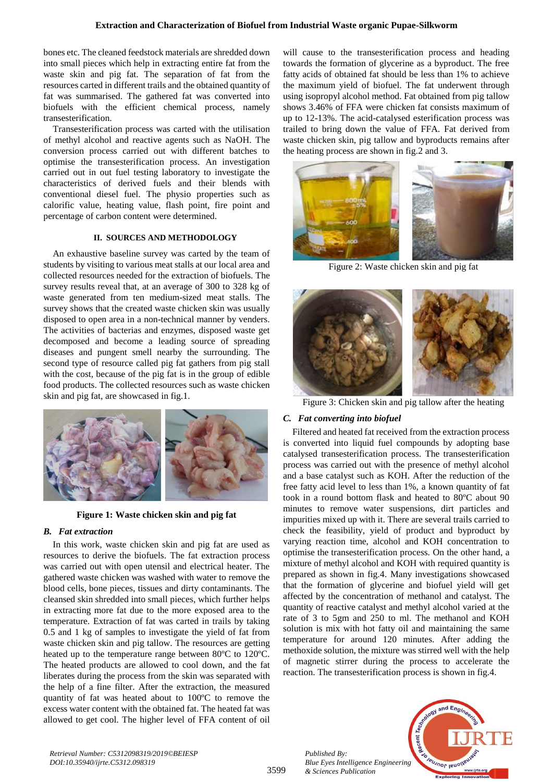bones etc. The cleaned feedstock materials are shredded down into small pieces which help in extracting entire fat from the waste skin and pig fat. The separation of fat from the resources carted in different trails and the obtained quantity of fat was summarised. The gathered fat was converted into biofuels with the efficient chemical process, namely transesterification.

Transesterification process was carted with the utilisation of methyl alcohol and reactive agents such as NaOH. The conversion process carried out with different batches to optimise the transesterification process. An investigation carried out in out fuel testing laboratory to investigate the characteristics of derived fuels and their blends with conventional diesel fuel. The physio properties such as calorific value, heating value, flash point, fire point and percentage of carbon content were determined.

## **II. SOURCES AND METHODOLOGY**

An exhaustive baseline survey was carted by the team of students by visiting to various meat stalls at our local area and collected resources needed for the extraction of biofuels. The survey results reveal that, at an average of 300 to 328 kg of waste generated from ten medium-sized meat stalls. The survey shows that the created waste chicken skin was usually disposed to open area in a non-technical manner by venders. The activities of bacterias and enzymes, disposed waste get decomposed and become a leading source of spreading diseases and pungent smell nearby the surrounding. The second type of resource called pig fat gathers from pig stall with the cost, because of the pig fat is in the group of edible food products. The collected resources such as waste chicken skin and pig fat, are showcased in fig.1.





#### *B. Fat extraction*

In this work, waste chicken skin and pig fat are used as resources to derive the biofuels. The fat extraction process was carried out with open utensil and electrical heater. The gathered waste chicken was washed with water to remove the blood cells, bone pieces, tissues and dirty contaminants. The cleansed skin shredded into small pieces, which further helps in extracting more fat due to the more exposed area to the temperature. Extraction of fat was carted in trails by taking 0.5 and 1 kg of samples to investigate the yield of fat from waste chicken skin and pig tallow. The resources are getting heated up to the temperature range between 80ºC to 120ºC. The heated products are allowed to cool down, and the fat liberates during the process from the skin was separated with the help of a fine filter. After the extraction, the measured quantity of fat was heated about to 100ºC to remove the excess water content with the obtained fat. The heated fat was allowed to get cool. The higher level of FFA content of oil

will cause to the transesterification process and heading towards the formation of glycerine as a byproduct. The free fatty acids of obtained fat should be less than 1% to achieve the maximum yield of biofuel. The fat underwent through using isopropyl alcohol method. Fat obtained from pig tallow shows 3.46% of FFA were chicken fat consists maximum of up to 12-13%. The acid-catalysed esterification process was trailed to bring down the value of FFA. Fat derived from waste chicken skin, pig tallow and byproducts remains after the heating process are shown in fig.2 and 3.



Figure 2: Waste chicken skin and pig fat



Figure 3: Chicken skin and pig tallow after the heating

#### *C. Fat converting into biofuel*

Filtered and heated fat received from the extraction process is converted into liquid fuel compounds by adopting base catalysed transesterification process. The transesterification process was carried out with the presence of methyl alcohol and a base catalyst such as KOH. After the reduction of the free fatty acid level to less than 1%, a known quantity of fat took in a round bottom flask and heated to 80ºC about 90 minutes to remove water suspensions, dirt particles and impurities mixed up with it. There are several trails carried to check the feasibility, yield of product and byproduct by varying reaction time, alcohol and KOH concentration to optimise the transesterification process. On the other hand, a mixture of methyl alcohol and KOH with required quantity is prepared as shown in fig.4. Many investigations showcased that the formation of glycerine and biofuel yield will get affected by the concentration of methanol and catalyst. The quantity of reactive catalyst and methyl alcohol varied at the rate of 3 to 5gm and 250 to ml. The methanol and KOH solution is mix with hot fatty oil and maintaining the same temperature for around 120 minutes. After adding the methoxide solution, the mixture was stirred well with the help of magnetic stirrer during the process to accelerate the reaction. The transesterification process is shown in fig.4.

*Published By: Blue Eyes Intelligence Engineering & Sciences Publication* 



*Retrieval Number: C5312098319/2019©BEIESP DOI:10.35940/ijrte.C5312.098319*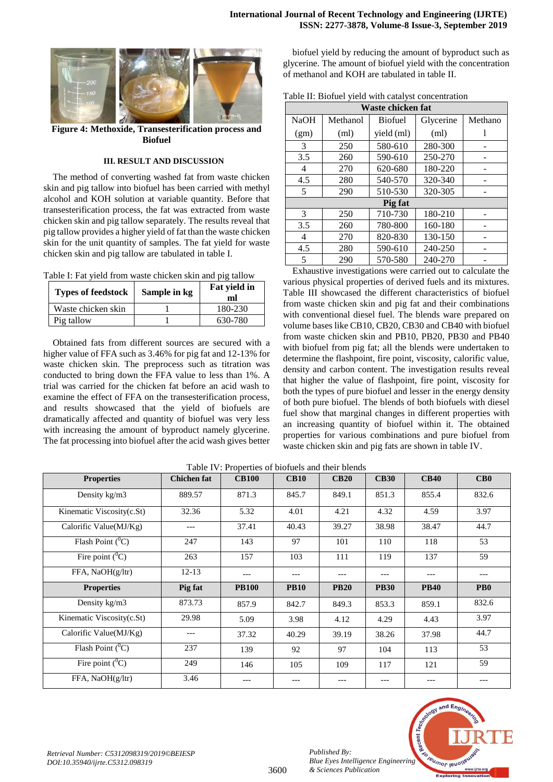

**Figure 4: Methoxide, Transesterification process and Biofuel**

### **III. RESULT AND DISCUSSION**

The method of converting washed fat from waste chicken skin and pig tallow into biofuel has been carried with methyl alcohol and KOH solution at variable quantity. Before that transesterification process, the fat was extracted from waste chicken skin and pig tallow separately. The results reveal that pig tallow provides a higher yield of fat than the waste chicken skin for the unit quantity of samples. The fat yield for waste chicken skin and pig tallow are tabulated in table I.

Table I: Fat yield from waste chicken skin and pig tallow

| <b>Types of feedstock</b> | Sample in kg | Fat yield in<br>ml |
|---------------------------|--------------|--------------------|
| Waste chicken skin        |              | 180-230            |
| Pig tallow                |              | 630-780            |

Obtained fats from different sources are secured with a higher value of FFA such as 3.46% for pig fat and 12-13% for waste chicken skin. The preprocess such as titration was conducted to bring down the FFA value to less than 1%. A trial was carried for the chicken fat before an acid wash to examine the effect of FFA on the transesterification process, and results showcased that the yield of biofuels are dramatically affected and quantity of biofuel was very less with increasing the amount of byproduct namely glycerine. The fat processing into biofuel after the acid wash gives better

biofuel yield by reducing the amount of byproduct such as glycerine. The amount of biofuel yield with the concentration of methanol and KOH are tabulated in table II.

|  |  |  |  | Table II: Biofuel yield with catalyst concentration |
|--|--|--|--|-----------------------------------------------------|
|--|--|--|--|-----------------------------------------------------|

| Waste chicken fat |          |                |                      |  |  |
|-------------------|----------|----------------|----------------------|--|--|
| <b>NaOH</b>       | Methanol | <b>Biofuel</b> | Methano<br>Glycerine |  |  |
| (gm)              | (ml)     | yield (ml)     | (ml)                 |  |  |
| 3                 | 250      | 580-610        | 280-300              |  |  |
| 3.5               | 260      | 590-610        | 250-270              |  |  |
| 4                 | 270      | 620-680        | 180-220              |  |  |
| 4.5               | 280      | 540-570        | 320-340              |  |  |
| 5                 | 290      | 510-530        | 320-305              |  |  |
| Pig fat           |          |                |                      |  |  |
| $\mathcal{F}$     | 250      | 710-730        | 180-210              |  |  |
| 3.5               | 260      | 780-800        | 160-180              |  |  |
| 4                 | 270      | 820-830        | 130-150              |  |  |
| 4.5               | 280      | 590-610        | 240-250              |  |  |
| 5                 | 290      | 570-580        | 240-270              |  |  |

Exhaustive investigations were carried out to calculate the various physical properties of derived fuels and its mixtures. Table III showcased the different characteristics of biofuel from waste chicken skin and pig fat and their combinations with conventional diesel fuel. The blends ware prepared on volume bases like CB10, CB20, CB30 and CB40 with biofuel from waste chicken skin and PB10, PB20, PB30 and PB40 with biofuel from pig fat; all the blends were undertaken to determine the flashpoint, fire point, viscosity, calorific value, density and carbon content. The investigation results reveal that higher the value of flashpoint, fire point, viscosity for both the types of pure biofuel and lesser in the energy density of both pure biofuel. The blends of both biofuels with diesel fuel show that marginal changes in different properties with an increasing quantity of biofuel within it. The obtained properties for various combinations and pure biofuel from waste chicken skin and pig fats are shown in table IV.

| <b>Properties</b>         | <b>Chichen fat</b> | <b>CB100</b> | <b>CB10</b> | CB20        | <b>CB30</b> | <b>CB40</b> | CB0            |
|---------------------------|--------------------|--------------|-------------|-------------|-------------|-------------|----------------|
| Density kg/m3             | 889.57             | 871.3        | 845.7       | 849.1       | 851.3       | 855.4       | 832.6          |
| Kinematic Viscosity(c.St) | 32.36              | 5.32         | 4.01        | 4.21        | 4.32        | 4.59        | 3.97           |
| Calorific Value $(MJ/Kg)$ | ---                | 37.41        | 40.43       | 39.27       | 38.98       | 38.47       | 44.7           |
| Flash Point $(^{0}C)$     | 247                | 143          | 97          | 101         | 110         | 118         | 53             |
| Fire point $(^0C)$        | 263                | 157          | 103         | 111         | 119         | 137         | 59             |
| FFA, NaOH(g/ltr)          | $12 - 13$          | ---          | ---         | $---$       | ---         | ---         | ---            |
| <b>Properties</b>         | Pig fat            | <b>PB100</b> | <b>PB10</b> | <b>PB20</b> | <b>PB30</b> | <b>PB40</b> | P <sub>B</sub> |
| Density kg/m3             | 873.73             | 857.9        | 842.7       | 849.3       | 853.3       | 859.1       | 832.6          |
| Kinematic Viscosity(c.St) | 29.98              | 5.09         | 3.98        | 4.12        | 4.29        | 4.43        | 3.97           |
| Calorific Value(MJ/Kg)    | ---                | 37.32        | 40.29       | 39.19       | 38.26       | 37.98       | 44.7           |
| Flash Point $(^0C)$       | 237                | 139          | 92          | 97          | 104         | 113         | 53             |
| Fire point $(^0C)$        | 249                | 146          | 105         | 109         | 117         | 121         | 59             |
| FFA, NaOH(g/ltr)          | 3.46               | ---          | ---         |             | ---         | ---         | ---            |

3600

Table IV: Properties of biofuels and their blends

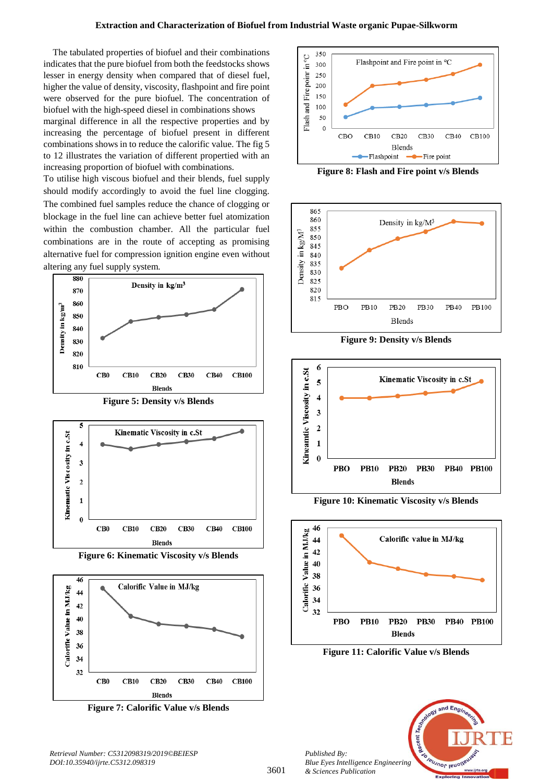The tabulated properties of biofuel and their combinations indicates that the pure biofuel from both the feedstocks shows lesser in energy density when compared that of diesel fuel, higher the value of density, viscosity, flashpoint and fire point were observed for the pure biofuel. The concentration of biofuel with the high-speed diesel in combinations shows

marginal difference in all the respective properties and by increasing the percentage of biofuel present in different combinations shows in to reduce the calorific value. The fig 5 to 12 illustrates the variation of different propertied with an increasing proportion of biofuel with combinations.

To utilise high viscous biofuel and their blends, fuel supply should modify accordingly to avoid the fuel line clogging. The combined fuel samples reduce the chance of clogging or blockage in the fuel line can achieve better fuel atomization within the combustion chamber. All the particular fuel combinations are in the route of accepting as promising alternative fuel for compression ignition engine even without altering any fuel supply system.





**Figure 7: Calorific Value v/s Blends**



**Figure 8: Flash and Fire point v/s Blends**



**Figure 9: Density v/s Blends**



**Figure 10: Kinematic Viscosity v/s Blends**



**Figure 11: Calorific Value v/s Blends**



*Published By:*

*& Sciences Publication*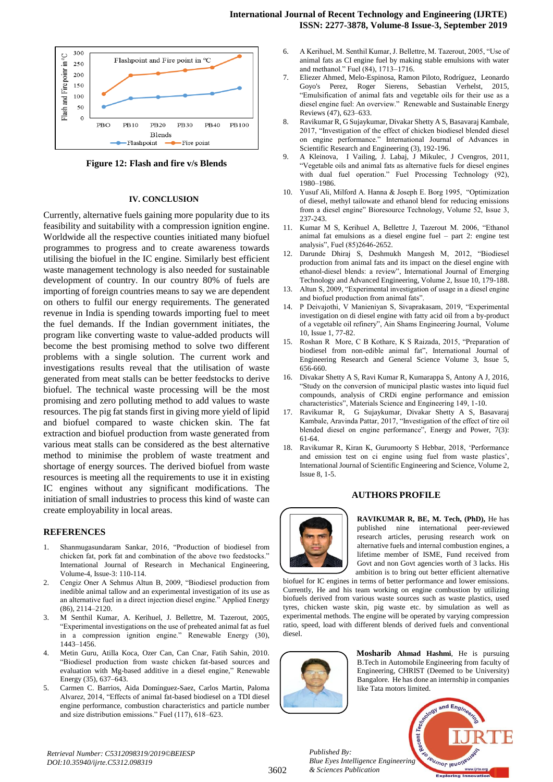

**Figure 12: Flash and fire v/s Blends**

# **IV. CONCLUSION**

Currently, alternative fuels gaining more popularity due to its feasibility and suitability with a compression ignition engine. Worldwide all the respective counties initiated many biofuel programmes to progress and to create awareness towards utilising the biofuel in the IC engine. Similarly best efficient waste management technology is also needed for sustainable development of country. In our country 80% of fuels are importing of foreign countries means to say we are dependent on others to fulfil our energy requirements. The generated revenue in India is spending towards importing fuel to meet the fuel demands. If the Indian government initiates, the program like converting waste to value-added products will become the best promising method to solve two different problems with a single solution. The current work and investigations results reveal that the utilisation of waste generated from meat stalls can be better feedstocks to derive biofuel. The technical waste processing will be the most promising and zero polluting method to add values to waste resources. The pig fat stands first in giving more yield of lipid and biofuel compared to waste chicken skin. The fat extraction and biofuel production from waste generated from various meat stalls can be considered as the best alternative method to minimise the problem of waste treatment and shortage of energy sources. The derived biofuel from waste resources is meeting all the requirements to use it in existing IC engines without any significant modifications. The initiation of small industries to process this kind of waste can create employability in local areas.

#### **REFERENCES**

- 1. Shanmugasundaram Sankar, 2016, "Production of biodiesel from chicken fat, pork fat and combination of the above two feedstocks." International Journal of Research in Mechanical Engineering, Volume-4, Issue-3: 110-114.
- 2. Cengiz Oner A Sehmus Altun B, 2009, "Biodiesel production from inedible animal tallow and an experimental investigation of its use as an alternative fuel in a direct injection diesel engine." Applied Energy (86), 2114–2120.
- 3. M Senthil Kumar, A. Kerihuel, J. Bellettre, M. Tazerout, 2005, "Experimental investigations on the use of preheated animal fat as fuel in a compression ignition engine." Renewable Energy (30), 1443–1456.
- 4. Metin Guru, Atilla Koca, Ozer Can, Can Cnar, Fatih Sahin, 2010. "Biodiesel production from waste chicken fat-based sources and evaluation with Mg-based additive in a diesel engine," Renewable Energy (35), 637–643.
- 5. Carmen C. Barrios, Aida Domínguez-Saez, Carlos Martin, Paloma Alvarez, 2014, "Effects of animal fat-based biodiesel on a TDI diesel engine performance, combustion characteristics and particle number and size distribution emissions." Fuel (117), 618–623.
- 6. A Kerihuel, M. Senthil Kumar, J. Bellettre, M. Tazerout, 2005, "Use of animal fats as CI engine fuel by making stable emulsions with water and methanol." Fuel (84), 1713–1716.
- 7. Eliezer Ahmed, Melo-Espinosa, Ramon Piloto, Rodríguez, Leonardo Goyo's Perez, Roger Sierens, Sebastian Verhelst, 2015, "Emulsification of animal fats and vegetable oils for their use as a diesel engine fuel: An overview." Renewable and Sustainable Energy Reviews (47), 623–633.
- 8. Ravikumar R, G Sujaykumar, Divakar Shetty A S, Basavaraj Kambale, 2017, "Investigation of the effect of chicken biodiesel blended diesel on engine performance." International Journal of Advances in Scientific Research and Engineering (3), 192-196.
- 9. A Kleinova, I Vailing, J. Labaj, J Mikulec, J Cvengros, 2011, "Vegetable oils and animal fats as alternative fuels for diesel engines with dual fuel operation." Fuel Processing Technology (92), 1980–1986.
- 10. Yusuf Ali, Milford A. Hanna & Joseph E. Borg 1995, "Optimization of diesel, methyl tailowate and ethanol blend for reducing emissions from a diesel engine" Bioresource Technology, Volume 52, Issue 3, 237-243.
- 11. Kumar M S, Kerihuel A, Bellettre J, Tazerout M. 2006, "Ethanol animal fat emulsions as a diesel engine fuel – part 2: engine test analysis", Fuel (85)2646-2652.
- 12. Darunde Dhiraj S, Deshmukh Mangesh M, 2012, "Biodiesel production from animal fats and its impact on the diesel engine with ethanol-diesel blends: a review", International Journal of Emerging Technology and Advanced Engineering, Volume 2, Issue 10, 179-188.
- 13. Altun S, 2009, "Experimental investigation of usage in a diesel engine and biofuel production from animal fats".
- 14. P Deivajothi, V Manieniyan S, Sivaprakasam, 2019, "Experimental investigation on di diesel engine with fatty acid oil from a by-product of a vegetable oil refinery", Ain Shams Engineering Journal, Volume 10, Issue 1, 77-82.
- 15. Roshan R More, C B Kothare, K S Raizada, 2015, "Preparation of biodiesel from non-edible animal fat", International Journal of Engineering Research and General Science Volume 3, Issue 5, 656-660.
- 16. Divakar Shetty A S, Ravi Kumar R, Kumarappa S, Antony A J, 2016, "Study on the conversion of municipal plastic wastes into liquid fuel compounds, analysis of CRDi engine performance and emission characteristics", Materials Science and Engineering 149, 1-10.
- 17. Ravikumar R, G Sujaykumar, Divakar Shetty A S, Basavaraj Kambale, Aravinda Pattar, 2017, "Investigation of the effect of tire oil blended diesel on engine performance", Energy and Power, 7(3): 61-64.
- 18. Ravikumar R, Kiran K, Gurumoorty S Hebbar, 2018, 'Performance and emission test on ci engine using fuel from waste plastics', International Journal of Scientific Engineering and Science, Volume 2, Issue 8, 1-5.

#### **AUTHORS PROFILE**



**RAVIKUMAR R, BE, M. Tech, (PhD),** He has published nine international peer-reviewed research articles, perusing research work on alternative fuels and internal combustion engines, a lifetime member of ISME, Fund received from Govt and non Govt agencies worth of 3 lacks. His ambition is to bring out better efficient alternative

biofuel for IC engines in terms of better performance and lower emissions. Currently, He and his team working on engine combustion by utilizing biofuels derived from various waste sources such as waste plastics, used tyres, chicken waste skin, pig waste etc. by simulation as well as experimental methods. The engine will be operated by varying compression ratio, speed, load with different blends of derived fuels and conventional diesel.



**Mosharib Ahmad Hashmi**, He is pursuing B.Tech in Automobile Engineering from faculty of Engineering, CHRIST (Deemed to be University) Bangalore. He has done an internship in companies like Tata motors limited.



*Retrieval Number: C5312098319/2019©BEIESP DOI:10.35940/ijrte.C5312.098319*

3602

*Published By: Blue Eyes Intelligence Engineering & Sciences Publication*